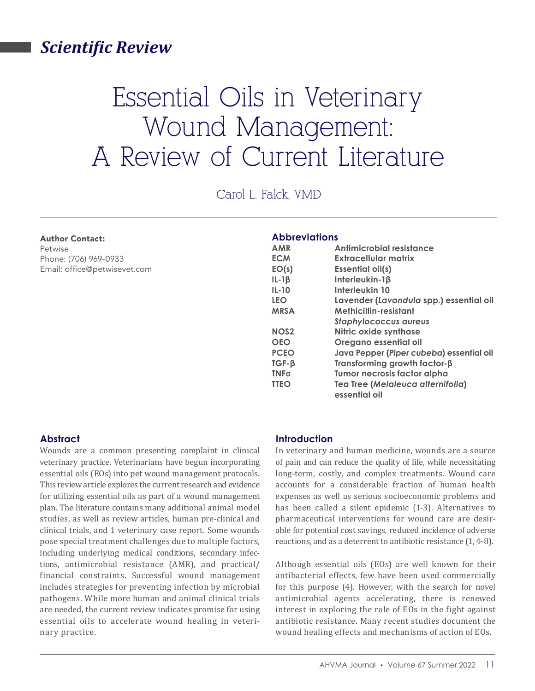### *Scientific Review*

# Essential Oils in Veterinary Wound Management: A Review of Current Literature

Carol L. Falck, VMD

#### Author Contact:

Petwise Phone: (706) 969-0933 Email: office@petwisevet.com

#### **Abbreviations**

| <b>AMR</b>        | Antimicrobial resistance                 |
|-------------------|------------------------------------------|
| <b>ECM</b>        | Extracellular matrix                     |
| EO(s)             | <b>Essential oil(s)</b>                  |
| $IL-1\beta$       | Interleukin-1 <sub>B</sub>               |
| $IL-10$           | Interleukin 10                           |
| <b>LEO</b>        | Lavender (Lavandula spp.) essential oil  |
| <b>MRSA</b>       | Methicillin-resistant                    |
|                   | <b>Staphylococcus aureus</b>             |
| NO <sub>S</sub> 2 | Nitric oxide synthase                    |
| <b>OEO</b>        | Oregano essential oil                    |
| <b>PCEO</b>       | Java Pepper (Piper cubeba) essential oil |
| $IGF-B$           | Transforming growth factor- $\beta$      |
| $TNF\alpha$       | Tumor necrosis factor alpha              |
| <b>TTEO</b>       | Tea Tree (Melaleuca alternifolia)        |
|                   | essential oil                            |

#### **Abstract**

Wounds are a common presenting complaint in clinical veterinary practice. Veterinarians have begun incorporating essential oils (EOs) into pet wound management protocols. This review article explores the current research and evidence for utilizing essential oils as part of a wound management plan. The literature contains many additional animal model studies, as well as review articles, human pre-clinical and clinical trials, and 1 veterinary case report. Some wounds pose special treatment challenges due to multiple factors, including underlying medical conditions, secondary infections, antimicrobial resistance (AMR), and practical/ financial constraints. Successful wound management includes strategies for preventing infection by microbial pathogens. While more human and animal clinical trials are needed, the current review indicates promise for using essential oils to accelerate wound healing in veterinary practice.

#### **Introduction**

In veterinary and human medicine, wounds are a source of pain and can reduce the quality of life, while necessitating long-term, costly, and complex treatments. Wound care accounts for a considerable fraction of human health expenses as well as serious socioeconomic problems and has been called a silent epidemic (1-3). Alternatives to pharmaceutical interventions for wound care are desirable for potential cost savings, reduced incidence of adverse reactions, and as a deterrent to antibiotic resistance (1, 4-8).

Although essential oils (EOs) are well known for their antibacterial effects, few have been used commercially for this purpose (4). However, with the search for novel antimicrobial agents accelerating, there is renewed interest in exploring the role of EOs in the fight against antibiotic resistance. Many recent studies document the wound healing effects and mechanisms of action of EOs.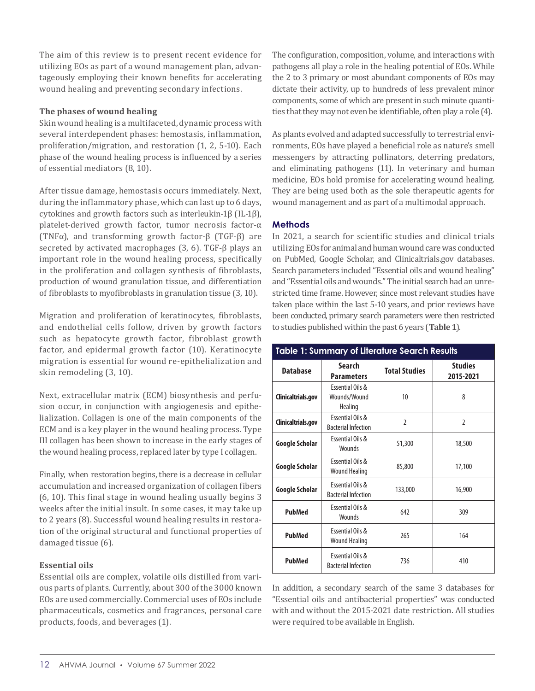The aim of this review is to present recent evidence for utilizing EOs as part of a wound management plan, advantageously employing their known benefits for accelerating wound healing and preventing secondary infections.

#### **The phases of wound healing**

Skin wound healing is a multifaceted, dynamic process with several interdependent phases: hemostasis, inflammation, proliferation/migration, and restoration (1, 2, 5-10). Each phase of the wound healing process is influenced by a series of essential mediators (8, 10).

After tissue damage, hemostasis occurs immediately. Next, during the inflammatory phase, which can last up to 6 days, cytokines and growth factors such as interleukin-1β (IL-1β), platelet-derived growth factor, tumor necrosis factor-α (TNFα), and transforming growth factor-β (TGF-β) are secreted by activated macrophages (3, 6). TGF-β plays an important role in the wound healing process, specifically in the proliferation and collagen synthesis of fibroblasts, production of wound granulation tissue, and differentiation of fibroblasts to myofibroblasts in granulation tissue (3, 10).

Migration and proliferation of keratinocytes, fibroblasts, and endothelial cells follow, driven by growth factors such as hepatocyte growth factor, fibroblast growth factor, and epidermal growth factor (10). Keratinocyte migration is essential for wound re-epithelialization and skin remodeling (3, 10).

Next, extracellular matrix (ECM) biosynthesis and perfusion occur, in conjunction with angiogenesis and epithelialization. Collagen is one of the main components of the ECM and is a key player in the wound healing process. Type III collagen has been shown to increase in the early stages of the wound healing process, replaced later by type I collagen.

Finally, when restoration begins, there is a decrease in cellular accumulation and increased organization of collagen fibers (6, 10). This final stage in wound healing usually begins 3 weeks after the initial insult. In some cases, it may take up to 2 years (8). Successful wound healing results in restoration of the original structural and functional properties of damaged tissue (6).

#### **Essential oils**

Essential oils are complex, volatile oils distilled from various parts of plants. Currently, about 300 of the 3000 known EOs are used commercially. Commercial uses of EOs include pharmaceuticals, cosmetics and fragrances, personal care products, foods, and beverages (1).

The configuration, composition, volume, and interactions with pathogens all play a role in the healing potential of EOs. While the 2 to 3 primary or most abundant components of EOs may dictate their activity, up to hundreds of less prevalent minor components, some of which are present in such minute quantities that they may not even be identifiable, often play a role (4).

As plants evolved and adapted successfully to terrestrial environments, EOs have played a beneficial role as nature's smell messengers by attracting pollinators, deterring predators, and eliminating pathogens (11). In veterinary and human medicine, EOs hold promise for accelerating wound healing. They are being used both as the sole therapeutic agents for wound management and as part of a multimodal approach.

#### **Methods**

In 2021, a search for scientific studies and clinical trials utilizing EOs for animal and human wound care was conducted on PubMed, Google Scholar, and Clinicaltrials.gov databases. Search parameters included "Essential oils and wound healing" and "Essential oils and wounds." The initial search had an unrestricted time frame. However, since most relevant studies have taken place within the last 5-10 years, and prior reviews have been conducted, primary search parameters were then restricted to studies published within the past 6 years (**Table 1**).

## **Table 1: Summary of Literature Search Results**

| <b>Database</b>    | Search<br><b>Parameters</b>                               | <b>Total Studies</b> | <b>Studies</b><br>2015-2021 |  |
|--------------------|-----------------------------------------------------------|----------------------|-----------------------------|--|
| Clinicaltrials.gov | <b>Essential Oils &amp;</b><br>Wounds/Wound<br>Healing    | 10                   | 8                           |  |
| Clinicaltrials.gov | <b>Fssential Oils &amp;</b><br><b>Bacterial Infection</b> | $\overline{2}$       | $\overline{2}$              |  |
| Google Scholar     | <b>Essential Oils &amp;</b><br>Wounds                     | 51,300               | 18,500                      |  |
| Google Scholar     | <b>Essential Oils &amp;</b><br><b>Wound Healing</b>       | 85,800               | 17,100                      |  |
| Google Scholar     | <b>Essential Oils &amp;</b><br><b>Bacterial Infection</b> | 133,000              | 16,900                      |  |
| <b>PubMed</b>      | Essential Oils &<br><b>Wounds</b>                         | 642                  | 309                         |  |
| PubMed             | <b>Essential Oils &amp;</b><br><b>Wound Healing</b>       | 265                  | 164                         |  |
| PubMed             | <b>Essential Oils &amp;</b><br><b>Bacterial Infection</b> | 736                  | 410                         |  |

In addition, a secondary search of the same 3 databases for "Essential oils and antibacterial properties" was conducted with and without the 2015-2021 date restriction. All studies were required to be available in English.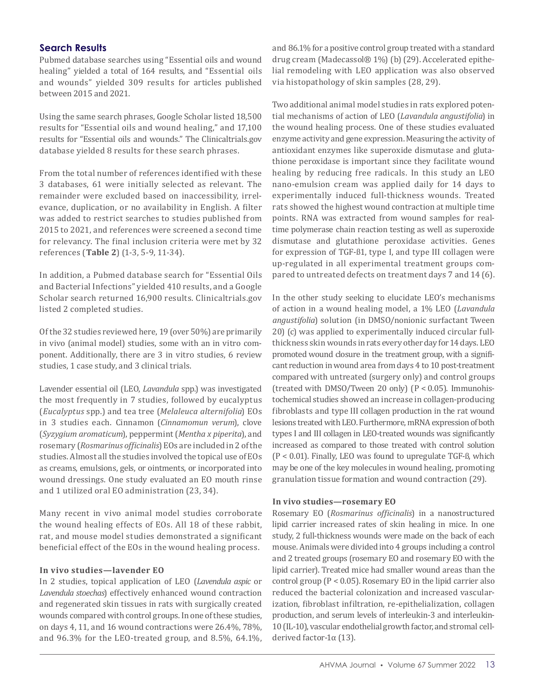#### **Search Results**

Pubmed database searches using "Essential oils and wound healing" yielded a total of 164 results, and "Essential oils and wounds" yielded 309 results for articles published between 2015 and 2021.

Using the same search phrases, Google Scholar listed 18,500 results for "Essential oils and wound healing," and 17,100 results for "Essential oils and wounds." The Clinicaltrials.gov database yielded 8 results for these search phrases.

From the total number of references identified with these 3 databases, 61 were initially selected as relevant. The remainder were excluded based on inaccessibility, irrelevance, duplication, or no availability in English. A filter was added to restrict searches to studies published from 2015 to 2021, and references were screened a second time for relevancy. The final inclusion criteria were met by 32 references (**Table 2**) (1-3, 5-9, 11-34).

In addition, a Pubmed database search for "Essential Oils and Bacterial Infections" yielded 410 results, and a Google Scholar search returned 16,900 results. Clinicaltrials.gov listed 2 completed studies.

Of the 32 studies reviewed here, 19 (over 50%) are primarily in vivo (animal model) studies, some with an in vitro component. Additionally, there are 3 in vitro studies, 6 review studies, 1 case study, and 3 clinical trials.

Lavender essential oil (LEO, *Lavandula* spp.) was investigated the most frequently in 7 studies, followed by eucalyptus (*Eucalyptus* spp.) and tea tree (*Melaleuca alternifolia*) EOs in 3 studies each. Cinnamon (*Cinnamomun verum*), clove (*Syzygium aromaticum*), peppermint (*Mentha x piperita*), and rosemary (*Rosmarinus officinalis*) EOs are included in 2 of the studies. Almost all the studies involved the topical use of EOs as creams, emulsions, gels, or ointments, or incorporated into wound dressings. One study evaluated an EO mouth rinse and 1 utilized oral EO administration (23, 34).

Many recent in vivo animal model studies corroborate the wound healing effects of EOs. All 18 of these rabbit, rat, and mouse model studies demonstrated a significant beneficial effect of the EOs in the wound healing process.

#### **In vivo studies—lavender EO**

In 2 studies, topical application of LEO (*Lavendula aspic* or *Lavendula stoechas*) effectively enhanced wound contraction and regenerated skin tissues in rats with surgically created wounds compared with control groups. In one of these studies, on days 4, 11, and 16 wound contractions were 26.4%, 78%, and 96.3% for the LEO-treated group, and 8.5%, 64.1%, and 86.1% for a positive control group treated with a standard drug cream (Madecassol® 1%) (b) (29). Accelerated epithelial remodeling with LEO application was also observed via histopathology of skin samples (28, 29).

Two additional animal model studies in rats explored potential mechanisms of action of LEO (*Lavandula angustifolia*) in the wound healing process. One of these studies evaluated enzyme activity and gene expression. Measuring the activity of antioxidant enzymes like superoxide dismutase and glutathione peroxidase is important since they facilitate wound healing by reducing free radicals. In this study an LEO nano-emulsion cream was applied daily for 14 days to experimentally induced full-thickness wounds. Treated rats showed the highest wound contraction at multiple time points. RNA was extracted from wound samples for realtime polymerase chain reaction testing as well as superoxide dismutase and glutathione peroxidase activities. Genes for expression of TGF-ß1, type I, and type III collagen were up-regulated in all experimental treatment groups compared to untreated defects on treatment days 7 and 14 (6).

In the other study seeking to elucidate LEO's mechanisms of action in a wound healing model, a 1% LEO (*Lavandula angustifolia*) solution (in DMSO/nonionic surfactant Tween 20) (c) was applied to experimentally induced circular fullthickness skin wounds in rats every other day for 14 days. LEO promoted wound closure in the treatment group, with a significant reduction in wound area from days 4 to 10 post-treatment compared with untreated (surgery only) and control groups (treated with DMSO/Tween 20 only) (P < 0.05). Immunohistochemical studies showed an increase in collagen-producing fibroblasts and type III collagen production in the rat wound lesions treated with LEO. Furthermore, mRNA expression of both types I and III collagen in LEO-treated wounds was significantly increased as compared to those treated with control solution (P < 0.01). Finally, LEO was found to upregulate TGF-ß, which may be one of the key molecules in wound healing, promoting granulation tissue formation and wound contraction (29).

#### **In vivo studies—rosemary EO**

Rosemary EO (*Rosmarinus officinalis*) in a nanostructured lipid carrier increased rates of skin healing in mice. In one study, 2 full-thickness wounds were made on the back of each mouse. Animals were divided into 4 groups including a control and 2 treated groups (rosemary EO and rosemary EO with the lipid carrier). Treated mice had smaller wound areas than the control group (P < 0.05). Rosemary EO in the lipid carrier also reduced the bacterial colonization and increased vascularization, fibroblast infiltration, re-epithelialization, collagen production, and serum levels of interleukin-3 and interleukin-10 (IL-10), vascular endothelial growth factor, and stromal cellderived factor-1α (13).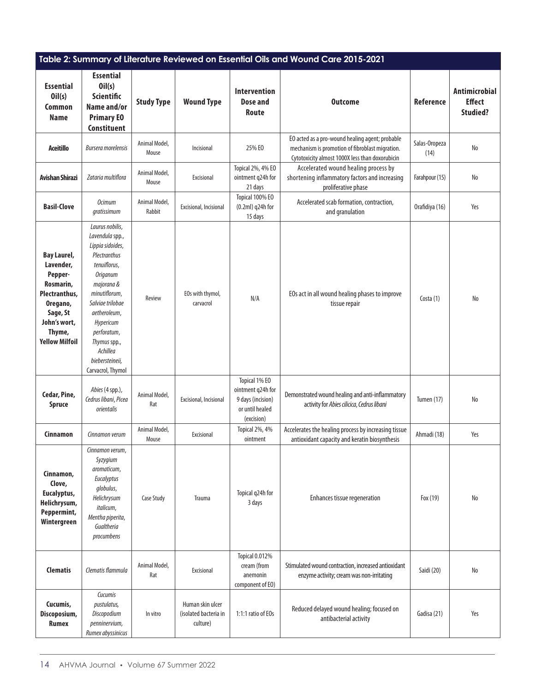| Table 2: Summary of Literature Reviewed on Essential Oils and Wound Care 2015-2021                                                                  |                                                                                                                                                                                                                                                                              |                         |                                                       |                                                                                          |                                                                                                                                                       |                       |                                                          |
|-----------------------------------------------------------------------------------------------------------------------------------------------------|------------------------------------------------------------------------------------------------------------------------------------------------------------------------------------------------------------------------------------------------------------------------------|-------------------------|-------------------------------------------------------|------------------------------------------------------------------------------------------|-------------------------------------------------------------------------------------------------------------------------------------------------------|-----------------------|----------------------------------------------------------|
| <b>Essential</b><br>Oil(s)<br><b>Common</b><br><b>Name</b>                                                                                          | <b>Essential</b><br>Oil(s)<br><b>Scientific</b><br>Name and/or<br><b>Primary EO</b><br>Constituent                                                                                                                                                                           | <b>Study Type</b>       | <b>Wound Type</b>                                     | <b>Intervention</b><br><b>Dose and</b><br>Route                                          | <b>Outcome</b>                                                                                                                                        | Reference             | <b>Antimicrobial</b><br><b>Effect</b><br><b>Studied?</b> |
| <b>Aceitillo</b>                                                                                                                                    | <b>Bursera morelensis</b>                                                                                                                                                                                                                                                    | Animal Model,<br>Mouse  | Incisional                                            | 25% EO                                                                                   | EO acted as a pro-wound healing agent; probable<br>mechanism is promotion of fibroblast migration.<br>Cytotoxicity almost 1000X less than doxorubicin | Salas-Oropeza<br>(14) | No                                                       |
| Avishan Shirazi                                                                                                                                     | Zataria multiflora                                                                                                                                                                                                                                                           | Animal Model,<br>Mouse  | Excisional                                            | Topical 2%, 4% EO<br>ointment q24h for<br>21 days                                        | Accelerated wound healing process by<br>shortening inflammatory factors and increasing<br>proliferative phase                                         | Farahpour (15)        | No                                                       |
| <b>Basil-Clove</b>                                                                                                                                  | <b>Ocimum</b><br>qratissimum                                                                                                                                                                                                                                                 | Animal Model,<br>Rabbit | Excisional, Incisional                                | Topical 100% EO<br>(0.2ml) q24h for<br>15 days                                           | Accelerated scab formation, contraction,<br>and granulation                                                                                           | Orafidiya (16)        | Yes                                                      |
| <b>Bay Laurel,</b><br>Lavender,<br>Pepper-<br>Rosmarin,<br>Plectranthus,<br>Oregano,<br>Sage, St<br>John's wort,<br>Thyme,<br><b>Yellow Milfoil</b> | Laurus nobilis,<br>Lavendula spp.,<br>Lippia sidoides,<br>Plectranthus<br>tenuiflorus,<br><b>Origanum</b><br>majorana &<br>minutiflorum,<br>Salviae trilobae<br>aetheroleum,<br>Hypericum<br>perforatum,<br>Thymus spp.,<br>Achillea<br>biebersteineii,<br>Carvacrol, Thymol | Review                  | EOs with thymol,<br>carvacrol                         | N/A                                                                                      | EOs act in all wound healing phases to improve<br>tissue repair                                                                                       | Costa $(1)$           | No                                                       |
| Cedar, Pine,<br><b>Spruce</b>                                                                                                                       | Abies (4 spp.),<br>Cedrus libani, Picea<br>orientalis                                                                                                                                                                                                                        | Animal Model,<br>Rat    | Excisional, Incisional                                | Topical 1% EO<br>ointment q24h for<br>9 days (incision)<br>or until healed<br>(excision) | Demonstrated wound healing and anti-inflammatory<br>activity for Abies cilicica, Cedrus libani                                                        | <b>Tumen (17)</b>     | No                                                       |
| Cinnamon                                                                                                                                            | Cinnamon verum                                                                                                                                                                                                                                                               | Animal Model,<br>Mouse  | Excisional                                            | Topical 2%, 4%<br>ointment                                                               | Accelerates the healing process by increasing tissue<br>antioxidant capacity and keratin biosynthesis                                                 | Ahmadi (18)           | Yes                                                      |
| Cinnamon,<br>Clove,<br>Eucalyptus,<br>Helichrysum,<br>Peppermint,<br>Wintergreen                                                                    | Cinnamon verum,<br>Syzygium<br>aromaticum,<br>Eucalyptus<br>globulus,<br>Helichrysum<br>italicum,<br>Mentha piperita,<br>Gualtheria<br>procumbens                                                                                                                            | <b>Case Study</b>       | Trauma                                                | Topical q24h for<br>3 days                                                               | Enhances tissue regeneration                                                                                                                          | Fox (19)              | No                                                       |
| <b>Clematis</b>                                                                                                                                     | Clematis flammula                                                                                                                                                                                                                                                            | Animal Model,<br>Rat    | Excisional                                            | Topical 0.012%<br>cream (from<br>anemonin<br>component of EO)                            | Stimulated wound contraction, increased antioxidant<br>enzyme activity; cream was non-irritating                                                      | Saidi (20)            | No                                                       |
| Cucumis,<br>Discoposium,<br><b>Rumex</b>                                                                                                            | Cucumis<br>pustulatus,<br>Discopodium<br>penninervium,<br>Rumex abyssinicus                                                                                                                                                                                                  | In vitro                | Human skin ulcer<br>(isolated bacteria in<br>culture) | 1:1:1 ratio of EOs                                                                       | Reduced delayed wound healing; focused on<br>antibacterial activity                                                                                   | Gadisa (21)           | Yes                                                      |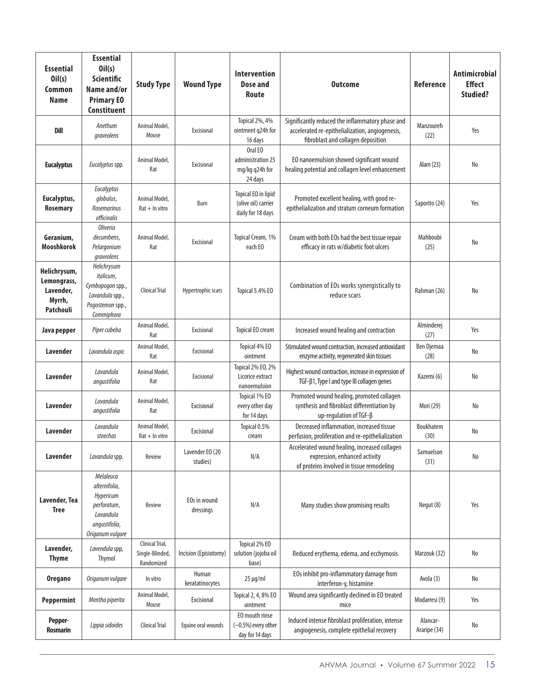| <b>Essential</b><br>Oil(s)<br>Common<br><b>Name</b>             | <b>Essential</b><br>Oil(s)<br><b>Scientific</b><br>Name and/or<br><b>Primary EO</b><br><b>Constituent</b> | <b>Study Type</b>                                | <b>Wound Type</b>           | <b>Intervention</b><br>Dose and<br>Route                        | <b>Outcome</b>                                                                                                                            | Reference                | <b>Antimicrobial</b><br><b>Effect</b><br><b>Studied?</b> |
|-----------------------------------------------------------------|-----------------------------------------------------------------------------------------------------------|--------------------------------------------------|-----------------------------|-----------------------------------------------------------------|-------------------------------------------------------------------------------------------------------------------------------------------|--------------------------|----------------------------------------------------------|
| Dill                                                            | Anethum<br>graveolens                                                                                     | Animal Model,<br>Mouse                           | Excisional                  | Topical 2%, 4%<br>ointment q24h for<br>16 days                  | Significantly reduced the inflammatory phase and<br>accelerated re-epithelialization, angiogenesis,<br>fibroblast and collagen deposition | Manzoureh<br>(22)        | Yes                                                      |
| <b>Eucalyptus</b>                                               | Eucalyptus spp.                                                                                           | Animal Model,<br>Rat                             | Excisional                  | Oral EO<br>administration 25<br>mg/kg q24h for<br>24 days       | EO nanoemulsion showed significant wound<br>healing potential and collagen level enhancement                                              | Alam (23)                | No                                                       |
| Eucalyptus,<br><b>Rosemary</b>                                  | Eucalyptus<br>globulus,<br><b>Rosemarinus</b><br>officinalis                                              | Animal Model,<br>$Rat + In vitro$                | Burn                        | Topical EO in lipid<br>(olive oil) carrier<br>daily for 18 days | Promoted excellent healing, with good re-<br>epithelialization and stratum corneum formation                                              | Saporito (24)            | Yes                                                      |
| Geranium,<br><b>Mooshkorok</b>                                  | <i><b>Oliveria</b></i><br>decumbens,<br>Pelargonium<br>graveolens                                         | Animal Model,<br>Rat                             | Excisional                  | Topical Cream, 1%<br>each EO                                    | Cream with both EOs had the best tissue repair<br>efficacy in rats w/diabetic foot ulcers                                                 | Mahboubi<br>(25)         | No                                                       |
| Helichrysum,<br>Lemongrass,<br>Lavender,<br>Myrrh,<br>Patchouli | Helichrysum<br>italicum,<br>Cymbopogon spp.,<br>Lavandula spp.,<br>Pogostemon spp.,<br>Commiphora         | <b>Clinical Trial</b>                            | Hypertrophic scars          | Topical 5.4% EO                                                 | Combination of EOs works synergistically to<br>reduce scars                                                                               | Rahman (26)              | No                                                       |
| Java pepper                                                     | Piper cubeba                                                                                              | Animal Model,<br>Rat                             | Excisional                  | Topical EO cream                                                | Increased wound healing and contraction                                                                                                   | Alminderej<br>(27)       | Yes                                                      |
| Lavender                                                        | Lavandula aspic                                                                                           | Animal Model,<br>Rat                             | Excisional                  | Topical 4% EO<br>ointment                                       | Stimulated wound contraction, increased antioxidant<br>enzyme activity, regenerated skin tissues                                          | Ben Djemaa<br>(28)       | No                                                       |
| Lavender                                                        | Lavandula<br>angustifolia                                                                                 | Animal Model,<br>Rat                             | Excisional                  | Topical 2% EO, 2%<br>Licorice extract<br>nanoemulsion           | Highest wound contraction, increase in expression of<br>TGF-β1, Type I and type III collagen genes                                        | Kazemi (6)               | No                                                       |
| Lavender                                                        | Lavandula<br>angustifolia                                                                                 | Animal Model,<br>Rat                             | Excisional                  | Topical 1% EO<br>every other day<br>for 14 days                 | Promoted wound healing, promoted collagen<br>synthesis and fibroblast differentiation by<br>up-regulation of TGF-B                        | Mori (29)                | No                                                       |
| <b>Lavender</b>                                                 | Lavandula<br>stoechas                                                                                     | Animal Model,<br>$Rat + In vitro$                | Excisional                  | Topical 0.5%<br>cream                                           | Decreased inflammation, increased tissue<br>perfusion, proliferation and re-epithelialization                                             | Boukhatem<br>(30)        | No                                                       |
| <b>Lavender</b>                                                 | Lavandula spp.                                                                                            | Review                                           | Lavender EO (20<br>studies) | N/A                                                             | Accelerated wound healing, increased collagen<br>expression, enhanced activity<br>of proteins involved in tissue remodeling               | Samuelson<br>(31)        | No                                                       |
| Lavender, Tea<br><b>Tree</b>                                    | Melaleuca<br>alternifolia,<br>Hypericum<br>perforatum,<br>Lavandula<br>angustifolia,<br>Origanum vulgare  | Review                                           | EOs in wound<br>dressings   | N/A                                                             | Many studies show promising results                                                                                                       | Negut (8)                | Yes                                                      |
| Lavender,<br><b>Thyme</b>                                       | Lavendula spp,<br>Thymol                                                                                  | Clinical Trial,<br>Single-Blinded,<br>Randomized | Incision (Episiotomy)       | Topical 2% EO<br>solution (jojoba oil<br>base)                  | Reduced erythema, edema, and ecchymosis                                                                                                   | Marzouk (32)             | No                                                       |
| <b>Oregano</b>                                                  | Origanum vulgare                                                                                          | In vitro                                         | Human<br>keratatinocytes    | $25 \mu g/ml$                                                   | EOs inhibit pro-inflammatory damage from<br>interferon-y, histamine                                                                       | Avola (3)                | No                                                       |
| <b>Peppermint</b>                                               | Mentha piperita                                                                                           | Animal Model,<br>Mouse                           | Excisional                  | Topical 2, 4, 8% EO<br>ointment                                 | Wound area significantly declined in EO treated<br>mice                                                                                   | Modarresi (9)            | Yes                                                      |
| Pepper-<br><b>Rosmarin</b>                                      | Lippia sidoides                                                                                           | Clinical Trial                                   | Equine oral wounds          | EO mouth rinse<br>$(\sim0.5\%)$ every other<br>day for 14 days  | Induced intense fibroblast proliferation, intense<br>angiogenesis, complete epithelial recovery                                           | Alancar-<br>Araripe (34) | No                                                       |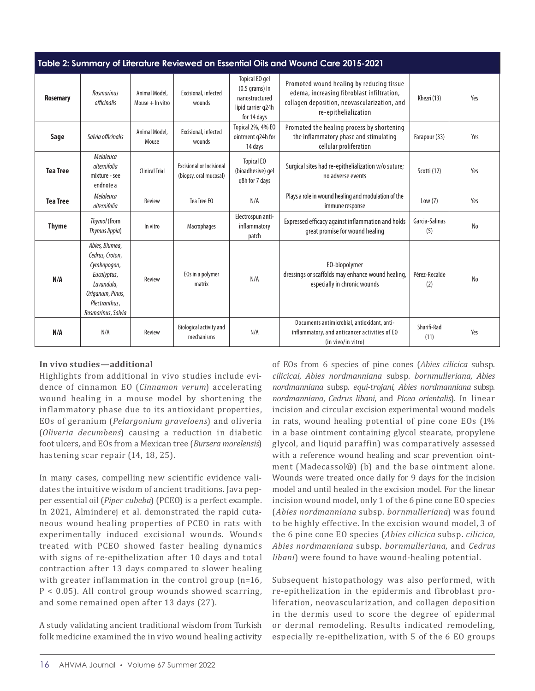| Table 2: Summary of Literature Reviewed on Essential Oils and Wound Care 2015-2021 |                                                                                                                                          |                                     |                                                           |                                                                                           |                                                                                                                                                                 |                       |     |  |
|------------------------------------------------------------------------------------|------------------------------------------------------------------------------------------------------------------------------------------|-------------------------------------|-----------------------------------------------------------|-------------------------------------------------------------------------------------------|-----------------------------------------------------------------------------------------------------------------------------------------------------------------|-----------------------|-----|--|
| <b>Rosemary</b>                                                                    | <b>Rosmarinus</b><br>officinalis                                                                                                         | Animal Model,<br>Mouse $+$ In vitro | Excisional, infected<br>wounds                            | Topical EO gel<br>$(0.5$ grams) in<br>nanostructured<br>lipid carrier g24h<br>for 14 days | Promoted wound healing by reducing tissue<br>edema, increasing fibroblast infiltration,<br>collagen deposition, neovascularization, and<br>re-epithelialization | Khezri (13)           | Yes |  |
| Sage                                                                               | Salvia officinalis                                                                                                                       | Animal Model,<br>Mouse              | Excisional, infected<br>wounds                            | Topical 2%, 4% EO<br>ointment g24h for<br>14 days                                         | Promoted the healing process by shortening<br>the inflammatory phase and stimulating<br>cellular proliferation                                                  | Farapour (33)         | Yes |  |
| <b>Tea Tree</b>                                                                    | Melaleuca<br>alternifolia<br>mixture - see<br>endnote a                                                                                  | <b>Clinical Trial</b>               | <b>Excisional or Incisional</b><br>(biopsy, oral mucosal) | <b>Topical EO</b><br>(bioadhesive) gel<br>g8h for 7 days                                  | Surgical sites had re-epithelialization w/o suture;<br>no adverse events                                                                                        | Scotti (12)           | Yes |  |
| <b>Tea Tree</b>                                                                    | Melaleuca<br>alternifolia                                                                                                                | Review                              | Tea Tree EO                                               | N/A                                                                                       | Plays a role in wound healing and modulation of the<br>immune response                                                                                          | Low(7)                | Yes |  |
| <b>Thyme</b>                                                                       | Thymol (from<br>Thymus lippia)                                                                                                           | In vitro                            | Macrophages                                               | Electrospun anti-<br>inflammatory<br>patch                                                | Expressed efficacy against inflammation and holds<br>great promise for wound healing                                                                            | Garcia-Salinas<br>(5) | No  |  |
| N/A                                                                                | Abies, Blumea,<br>Cedrus, Croton,<br>Cymbopogon,<br>Eucalyptus,<br>Lavandula,<br>Origanum, Pinus,<br>Plectranthus,<br>Rosmarinus, Salvia | Review                              | EOs in a polymer<br>matrix                                | N/A                                                                                       | EO-biopolymer<br>dressings or scaffolds may enhance wound healing,<br>especially in chronic wounds                                                              | Pérez-Recalde<br>(2)  | No  |  |
| N/A                                                                                | N/A                                                                                                                                      | Review                              | Biological activity and<br>mechanisms                     | N/A                                                                                       | Documents antimicrobial, antioxidant, anti-<br>inflammatory, and anticancer activities of EO<br>(in vivo/in vitro)                                              | Sharifi-Rad<br>(11)   | Yes |  |

#### **In vivo studies***—***additional**

Highlights from additional in vivo studies include evidence of cinnamon EO (*Cinnamon verum*) accelerating wound healing in a mouse model by shortening the inflammatory phase due to its antioxidant properties, EOs of geranium (*Pelargonium graveloens*) and oliveria (*Oliveria decumbens*) causing a reduction in diabetic foot ulcers, and EOs from a Mexican tree (*Bursera morelensis*) hastening scar repair (14, 18, 25).

In many cases, compelling new scientific evidence validates the intuitive wisdom of ancient traditions. Java pepper essential oil (*Piper cubeba*) (PCEO) is a perfect example. In 2021, Alminderej et al. demonstrated the rapid cutaneous wound healing properties of PCEO in rats with experimentally induced excisional wounds. Wounds treated with PCEO showed faster healing dynamics with signs of re-epithelization after 10 days and total contraction after 13 days compared to slower healing with greater inflammation in the control group (n=16, P < 0.05). All control group wounds showed scarring, and some remained open after 13 days (27).

A study validating ancient traditional wisdom from Turkish folk medicine examined the in vivo wound healing activity

of EOs from 6 species of pine cones (*Abies cilicica* subsp. *cilicicai*, *Abies nordmanniana* subsp. *bornmulleriana*, *Abies nordmanniana* subsp. *equi-trojani*, *Abies nordmanniana* subsp. *nordmanniana*, *Cedrus libani*, and *Picea orientalis*). In linear incision and circular excision experimental wound models in rats, wound healing potential of pine cone EOs (1% in a base ointment containing glycol stearate, propylene glycol, and liquid paraffin) was comparatively assessed with a reference wound healing and scar prevention ointment (Madecassol®) (b) and the base ointment alone. Wounds were treated once daily for 9 days for the incision model and until healed in the excision model. For the linear incision wound model, only 1 of the 6 pine cone EO species (*Abies nordmanniana* subsp. *bornmulleriana*) was found to be highly effective. In the excision wound model, 3 of the 6 pine cone EO species (*Abies cilicica* subsp. *cilicica*, *Abies nordmanniana* subsp. *bornmulleriana*, and *Cedrus libani*) were found to have wound-healing potential.

Subsequent histopathology was also performed, with re-epithelization in the epidermis and fibroblast proliferation, neovascularization, and collagen deposition in the dermis used to score the degree of epidermal or dermal remodeling. Results indicated remodeling, especially re-epithelization, with 5 of the 6 EO groups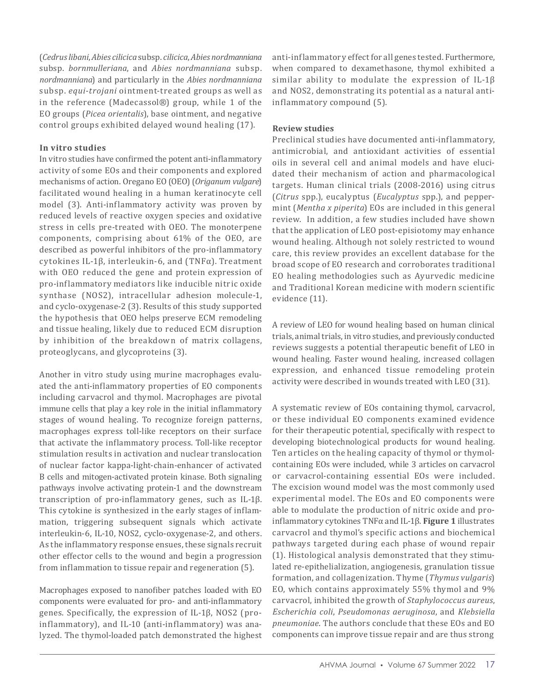(*Cedrus libani*, *Abies cilicica* subsp. *cilicica*, *Abies nordmanniana* subsp. *bornmulleriana*, and *Abies nordmanniana* subsp. *nordmanniana*) and particularly in the *Abies nordmanniana* subsp. *equi-trojani* ointment-treated groups as well as in the reference (Madecassol®) group, while 1 of the EO groups (*Picea orientalis*), base ointment, and negative control groups exhibited delayed wound healing (17).

#### **In vitro studies**

In vitro studies have confirmed the potent anti-inflammatory activity of some EOs and their components and explored mechanisms of action. Oregano EO (OEO) (*Origanum vulgare*) facilitated wound healing in a human keratinocyte cell model (3). Anti-inflammatory activity was proven by reduced levels of reactive oxygen species and oxidative stress in cells pre-treated with OEO. The monoterpene components, comprising about 61% of the OEO, are described as powerful inhibitors of the pro-inflammatory cytokines IL-1β, interleukin-6, and (TNFα). Treatment with OEO reduced the gene and protein expression of pro-inflammatory mediators like inducible nitric oxide synthase (NOS2), intracellular adhesion molecule-1, and cyclo-oxygenase-2 (3). Results of this study supported the hypothesis that OEO helps preserve ECM remodeling and tissue healing, likely due to reduced ECM disruption by inhibition of the breakdown of matrix collagens, proteoglycans, and glycoproteins (3).

Another in vitro study using murine macrophages evaluated the anti-inflammatory properties of EO components including carvacrol and thymol. Macrophages are pivotal immune cells that play a key role in the initial inflammatory stages of wound healing. To recognize foreign patterns, macrophages express toll-like receptors on their surface that activate the inflammatory process. Toll-like receptor stimulation results in activation and nuclear translocation of nuclear factor kappa-light-chain-enhancer of activated B cells and mitogen-activated protein kinase. Both signaling pathways involve activating protein-1 and the downstream transcription of pro-inflammatory genes, such as IL-1β. This cytokine is synthesized in the early stages of inflammation, triggering subsequent signals which activate interleukin-6, IL-10, NOS2, cyclo-oxygenase-2, and others. As the inflammatory response ensues, these signals recruit other effector cells to the wound and begin a progression from inflammation to tissue repair and regeneration (5).

Macrophages exposed to nanofiber patches loaded with EO components were evaluated for pro- and anti-inflammatory genes. Specifically, the expression of IL-1β, NOS2 (proinflammatory), and IL-10 (anti-inflammatory) was analyzed. The thymol-loaded patch demonstrated the highest anti-inflammatory effect for all genes tested. Furthermore, when compared to dexamethasone, thymol exhibited a similar ability to modulate the expression of IL-1β and NOS2, demonstrating its potential as a natural antiinflammatory compound (5).

#### **Review studies**

Preclinical studies have documented anti-inflammatory, antimicrobial, and antioxidant activities of essential oils in several cell and animal models and have elucidated their mechanism of action and pharmacological targets. Human clinical trials (2008-2016) using citrus (*Citrus* spp.), eucalyptus (*Eucalyptus* spp.), and peppermint (*Mentha x piperita*) EOs are included in this general review. In addition, a few studies included have shown that the application of LEO post-episiotomy may enhance wound healing. Although not solely restricted to wound care, this review provides an excellent database for the broad scope of EO research and corroborates traditional EO healing methodologies such as Ayurvedic medicine and Traditional Korean medicine with modern scientific evidence (11).

A review of LEO for wound healing based on human clinical trials, animal trials, in vitro studies, and previously conducted reviews suggests a potential therapeutic benefit of LEO in wound healing. Faster wound healing, increased collagen expression, and enhanced tissue remodeling protein activity were described in wounds treated with LEO (31).

A systematic review of EOs containing thymol, carvacrol, or these individual EO components examined evidence for their therapeutic potential, specifically with respect to developing biotechnological products for wound healing. Ten articles on the healing capacity of thymol or thymolcontaining EOs were included, while 3 articles on carvacrol or carvacrol-containing essential EOs were included. The excision wound model was the most commonly used experimental model. The EOs and EO components were able to modulate the production of nitric oxide and proinflammatory cytokines TNFα and IL-1β. **Figure 1** illustrates carvacrol and thymol's specific actions and biochemical pathways targeted during each phase of wound repair (1). Histological analysis demonstrated that they stimulated re-epithelialization, angiogenesis, granulation tissue formation, and collagenization. Thyme (*Thymus vulgaris*) EO, which contains approximately 55% thymol and 9% carvacrol, inhibited the growth of *Staphylococcus aureus*, *Escherichia coli*, *Pseudomonas aeruginosa*, and *Klebsiella pneumoniae*. The authors conclude that these EOs and EO components can improve tissue repair and are thus strong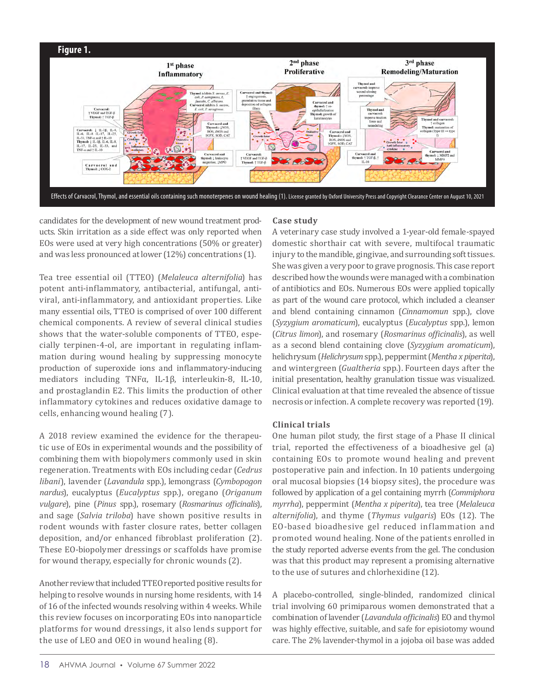

candidates for the development of new wound treatment products. Skin irritation as a side effect was only reported when EOs were used at very high concentrations (50% or greater) and was less pronounced at lower (12%) concentrations (1).

Tea tree essential oil (TTEO) (*Melaleuca alternifolia*) has potent anti-inflammatory, antibacterial, antifungal, antiviral, anti-inflammatory, and antioxidant properties. Like many essential oils, TTEO is comprised of over 100 different chemical components. A review of several clinical studies shows that the water-soluble components of TTEO, especially terpinen-4-ol, are important in regulating inflammation during wound healing by suppressing monocyte production of superoxide ions and inflammatory-inducing mediators including TNFα, IL-1β, interleukin-8, IL-10, and prostaglandin E2. This limits the production of other inflammatory cytokines and reduces oxidative damage to cells, enhancing wound healing (7).

A 2018 review examined the evidence for the therapeutic use of EOs in experimental wounds and the possibility of combining them with biopolymers commonly used in skin regeneration. Treatments with EOs including cedar (*Cedrus libani*), lavender (*Lavandula* spp.), lemongrass (*Cymbopogon nardus*), eucalyptus (*Eucalyptus* spp.), oregano (*Origanum vulgare*), pine (*Pinus* spp.), rosemary (*Rosmarinus officinalis*), and sage (*Salvia triloba*) have shown positive results in rodent wounds with faster closure rates, better collagen deposition, and/or enhanced fibroblast proliferation (2). These EO-biopolymer dressings or scaffolds have promise for wound therapy, especially for chronic wounds (2).

Another review that included TTEO reported positive results for helping to resolve wounds in nursing home residents, with 14 of 16 of the infected wounds resolving within 4 weeks. While this review focuses on incorporating EOs into nanoparticle platforms for wound dressings, it also lends support for the use of LEO and OEO in wound healing (8).

#### **Case study**

A veterinary case study involved a 1-year-old female-spayed domestic shorthair cat with severe, multifocal traumatic injury to the mandible, gingivae, and surrounding soft tissues. She was given a very poor to grave prognosis. This case report described how the wounds were managed with a combination of antibiotics and EOs. Numerous EOs were applied topically as part of the wound care protocol, which included a cleanser and blend containing cinnamon (*Cinnamomun* spp.), clove (*Syzygium aromaticum*), eucalyptus (*Eucalyptus* spp.), lemon (*Citrus limon*), and rosemary (*Rosmarinus officinalis*), as well as a second blend containing clove (*Syzygium aromaticum*), helichrysum (*Helichrysum* spp.), peppermint (*Mentha x piperita*), and wintergreen (*Gualtheria* spp.). Fourteen days after the initial presentation, healthy granulation tissue was visualized. Clinical evaluation at that time revealed the absence of tissue necrosis or infection. A complete recovery was reported (19).

#### **Clinical trials**

One human pilot study, the first stage of a Phase II clinical trial, reported the effectiveness of a bioadhesive gel (a) containing EOs to promote wound healing and prevent postoperative pain and infection. In 10 patients undergoing oral mucosal biopsies (14 biopsy sites), the procedure was followed by application of a gel containing myrrh (*Commiphora myrrha*), peppermint (*Mentha x piperita*), tea tree (*Melaleuca alternifolia*), and thyme (*Thymus vulgaris*) EOs (12). The EO-based bioadhesive gel reduced inflammation and promoted wound healing. None of the patients enrolled in the study reported adverse events from the gel. The conclusion was that this product may represent a promising alternative to the use of sutures and chlorhexidine (12).

A placebo-controlled, single-blinded, randomized clinical trial involving 60 primiparous women demonstrated that a combination of lavender (*Lavandula officinalis*) EO and thymol was highly effective, suitable, and safe for episiotomy wound care. The 2% lavender-thymol in a jojoba oil base was added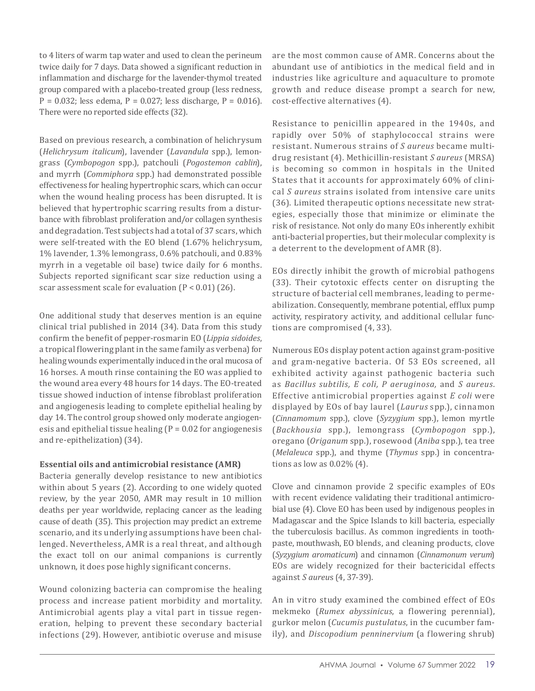to 4 liters of warm tap water and used to clean the perineum twice daily for 7 days. Data showed a significant reduction in inflammation and discharge for the lavender-thymol treated group compared with a placebo-treated group (less redness,  $P = 0.032$ ; less edema,  $P = 0.027$ ; less discharge,  $P = 0.016$ ). There were no reported side effects (32).

Based on previous research, a combination of helichrysum (*Helichrysum italicum*), lavender (*Lavandula* spp.), lemongrass (*Cymbopogon* spp.), patchouli (*Pogostemon cablin*), and myrrh (*Commiphora* spp.) had demonstrated possible effectiveness for healing hypertrophic scars, which can occur when the wound healing process has been disrupted. It is believed that hypertrophic scarring results from a disturbance with fibroblast proliferation and/or collagen synthesis and degradation. Test subjects had a total of 37 scars, which were self-treated with the EO blend (1.67% helichrysum, 1% lavender, 1.3% lemongrass, 0.6% patchouli, and 0.83% myrrh in a vegetable oil base) twice daily for 6 months. Subjects reported significant scar size reduction using a scar assessment scale for evaluation  $(P < 0.01)$   $(26)$ .

One additional study that deserves mention is an equine clinical trial published in 2014 (34). Data from this study confirm the benefit of pepper-rosmarin EO (*Lippia sidoides*, a tropical flowering plant in the same family as verbena) for healing wounds experimentally induced in the oral mucosa of 16 horses. A mouth rinse containing the EO was applied to the wound area every 48 hours for 14 days. The EO-treated tissue showed induction of intense fibroblast proliferation and angiogenesis leading to complete epithelial healing by day 14. The control group showed only moderate angiogenesis and epithelial tissue healing ( $P = 0.02$  for angiogenesis and re-epithelization) (34).

#### **Essential oils and antimicrobial resistance (AMR)**

Bacteria generally develop resistance to new antibiotics within about 5 years (2). According to one widely quoted review, by the year 2050, AMR may result in 10 million deaths per year worldwide, replacing cancer as the leading cause of death (35). This projection may predict an extreme scenario, and its underlying assumptions have been challenged. Nevertheless, AMR is a real threat, and although the exact toll on our animal companions is currently unknown, it does pose highly significant concerns.

Wound colonizing bacteria can compromise the healing process and increase patient morbidity and mortality. Antimicrobial agents play a vital part in tissue regeneration, helping to prevent these secondary bacterial infections (29). However, antibiotic overuse and misuse are the most common cause of AMR. Concerns about the abundant use of antibiotics in the medical field and in industries like agriculture and aquaculture to promote growth and reduce disease prompt a search for new, cost-effective alternatives (4).

Resistance to penicillin appeared in the 1940s, and rapidly over 50% of staphylococcal strains were resistant. Numerous strains of *S aureus* became multidrug resistant (4). Methicillin-resistant *S aureus* (MRSA) is becoming so common in hospitals in the United States that it accounts for approximately 60% of clinical *S aureus* strains isolated from intensive care units (36). Limited therapeutic options necessitate new strategies, especially those that minimize or eliminate the risk of resistance. Not only do many EOs inherently exhibit anti-bacterial properties, but their molecular complexity is a deterrent to the development of AMR (8).

EOs directly inhibit the growth of microbial pathogens (33). Their cytotoxic effects center on disrupting the structure of bacterial cell membranes, leading to permeabilization. Consequently, membrane potential, efflux pump activity, respiratory activity, and additional cellular functions are compromised (4, 33).

Numerous EOs display potent action against gram-positive and gram-negative bacteria. Of 53 EOs screened, all exhibited activity against pathogenic bacteria such as *Bacillus subtilis, E coli, P aeruginosa,* and *S aureus*. Effective antimicrobial properties against *E coli* were displayed by EOs of bay laurel (*Laurus* spp.), cinnamon (*Cinnamomum* spp.), clove (*Syzygium* spp.), lemon myrtle (*Backhousia* spp.), lemongrass (*Cymbopogon* spp.), oregano (*Origanum* spp.), rosewood (*Aniba* spp.), tea tree (*Melaleuca* spp.), and thyme (*Thymus* spp.) in concentrations as low as 0.02% (4).

Clove and cinnamon provide 2 specific examples of EOs with recent evidence validating their traditional antimicrobial use (4). Clove EO has been used by indigenous peoples in Madagascar and the Spice Islands to kill bacteria, especially the tuberculosis bacillus. As common ingredients in toothpaste, mouthwash, EO blends, and cleaning products, clove (*Syzygium aromaticum*) and cinnamon (*Cinnamonum verum*) EOs are widely recognized for their bactericidal effects against *S aureu*s (4, 37-39).

An in vitro study examined the combined effect of EOs mekmeko (*Rumex abyssinicus*, a flowering perennial), gurkor melon (*Cucumis pustulatus*, in the cucumber family), and *Discopodium penninervium* (a flowering shrub)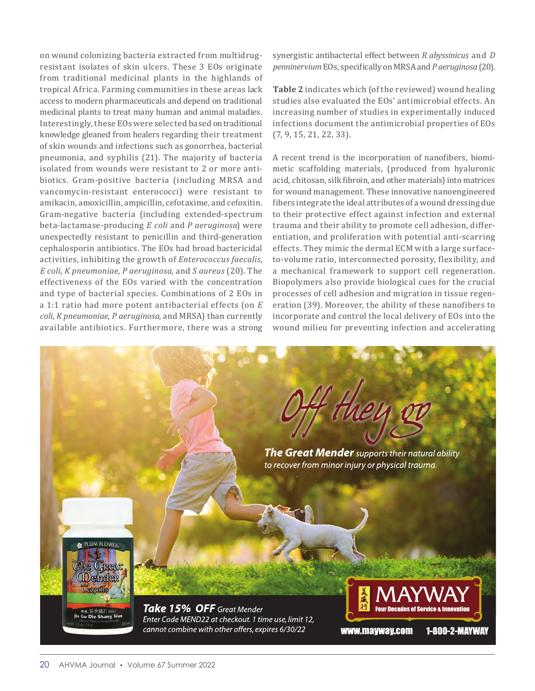on wound colonizing bacteria extracted from multidrugresistant isolates of skin ulcers. These 3 EOs originate from traditional medicinal plants in the highlands of tropical Africa. Farming communities in these areas lack access to modern pharmaceuticals and depend on traditional medicinal plants to treat many human and animal maladies. Interestingly, these EOs were selected based on traditional knowledge gleaned from healers regarding their treatment of skin wounds and infections such as gonorrhea, bacterial pneumonia, and syphilis (21). The majority of bacteria isolated from wounds were resistant to 2 or more antibiotics. Gram-positive bacteria (including MRSA and vancomycin-resistant enterococci) were resistant to amikacin, amoxicillin, ampicillin, cefotaxime, and cefoxitin. Gram-negative bacteria (including extended-spectrum beta-lactamase-producing *E coli* and *P aeruginosa*) were unexpectedly resistant to penicillin and third-generation cephalosporin antibiotics. The EOs had broad bactericidal activities, inhibiting the growth of *Enterococcus faecalis*, *E coli*, *K pneumoniae*, *P aeruginosa*, and *S aureus* (20). The effectiveness of the EOs varied with the concentration and type of bacterial species. Combinations of 2 EOs in a 1:1 ratio had more potent antibacterial effects (on *E coli*, *K pneumoniae*, *P aeruginosa*, and MRSA) than currently available antibiotics. Furthermore, there was a strong synergistic antibacterial effect between *R abyssinicus* and *D penninervium* EOs, specifically on MRSA and *P aeruginosa* (20).

**Table 2** indicates which (of the reviewed) wound healing studies also evaluated the EOs' antimicrobial effects. An increasing number of studies in experimentally induced infections document the antimicrobial properties of EOs (7, 9, 15, 21, 22, 33).

A recent trend is the incorporation of nanofibers, biomimetic scaffolding materials, (produced from hyaluronic acid, chitosan, silk fibroin, and other materials) into matrices for wound management. These innovative nanoengineered fibers integrate the ideal attributes of a wound dressing due to their protective effect against infection and external trauma and their ability to promote cell adhesion, differentiation, and proliferation with potential anti-scarring effects. They mimic the dermal ECM with a large surfaceto-volume ratio, interconnected porosity, flexibility, and a mechanical framework to support cell regeneration. Biopolymers also provide biological cues for the crucial processes of cell adhesion and migration in tissue regeneration (39). Moreover, the ability of these nanofibers to incorporate and control the local delivery of EOs into the wound milieu for preventing infection and accelerating

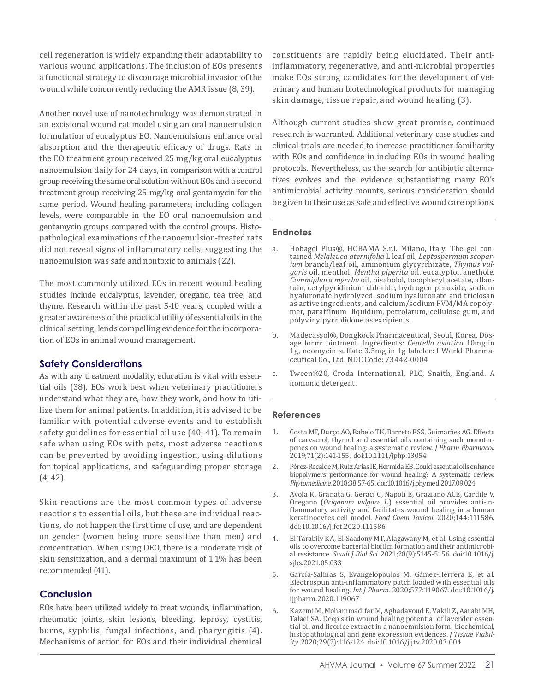cell regeneration is widely expanding their adaptability to various wound applications. The inclusion of EOs presents a functional strategy to discourage microbial invasion of the wound while concurrently reducing the AMR issue (8, 39).

Another novel use of nanotechnology was demonstrated in an excisional wound rat model using an oral nanoemulsion formulation of eucalyptus EO. Nanoemulsions enhance oral absorption and the therapeutic efficacy of drugs. Rats in the EO treatment group received 25 mg/kg oral eucalyptus nanoemulsion daily for 24 days, in comparison with a control group receiving the same oral solution without EOs and a second treatment group receiving 25 mg/kg oral gentamycin for the same period. Wound healing parameters, including collagen levels, were comparable in the EO oral nanoemulsion and gentamycin groups compared with the control groups. Histopathological examinations of the nanoemulsion-treated rats did not reveal signs of inflammatory cells, suggesting the nanoemulsion was safe and nontoxic to animals (22).

The most commonly utilized EOs in recent wound healing studies include eucalyptus, lavender, oregano, tea tree, and thyme. Research within the past 5-10 years, coupled with a greater awareness of the practical utility of essential oils in the clinical setting, lends compelling evidence for the incorporation of EOs in animal wound management.

#### **Safety Considerations**

As with any treatment modality, education is vital with essential oils (38). EOs work best when veterinary practitioners understand what they are, how they work, and how to utilize them for animal patients. In addition, it is advised to be familiar with potential adverse events and to establish safety guidelines for essential oil use (40, 41). To remain safe when using EOs with pets, most adverse reactions can be prevented by avoiding ingestion, using dilutions for topical applications, and safeguarding proper storage (4, 42).

Skin reactions are the most common types of adverse reactions to essential oils, but these are individual reactions, do not happen the first time of use, and are dependent on gender (women being more sensitive than men) and concentration. When using OEO, there is a moderate risk of skin sensitization, and a dermal maximum of 1.1% has been recommended (41).

#### **Conclusion**

EOs have been utilized widely to treat wounds, inflammation, rheumatic joints, skin lesions, bleeding, leprosy, cystitis, burns, syphilis, fungal infections, and pharyngitis (4). Mechanisms of action for EOs and their individual chemical constituents are rapidly being elucidated. Their antiinflammatory, regenerative, and anti-microbial properties make EOs strong candidates for the development of veterinary and human biotechnological products for managing skin damage, tissue repair, and wound healing (3).

Although current studies show great promise, continued research is warranted. Additional veterinary case studies and clinical trials are needed to increase practitioner familiarity with EOs and confidence in including EOs in wound healing protocols. Nevertheless, as the search for antibiotic alternatives evolves and the evidence substantiating many EO's antimicrobial activity mounts, serious consideration should be given to their use as safe and effective wound care options.

#### **Endnotes**

- a. Hobagel Plus®, HOBAMA S.r.l. Milano, Italy. The gel contained *Melaleuca aternifolia* L leaf oil, *Leptospermum scoparium* branch/leaf oil, ammonium glycyrrhizate, *Thymus vulgaris* oil, menthol, *Mentha piperita* oil, eucalyptol, anethole, *Commiphora myrrha* oil, bisabolol, tocopheryl acetate, allantoin, cetylpyridinium chloride, hydrogen peroxide, sodium hyaluronate hydrolyzed, sodium hyaluronate and triclosan as active ingredients, and calcium/sodium PVM/MA copolymer, paraffinum liquidum, petrolatum, cellulose gum, and polyvinylpyrrolidone as excipients.
- b. Madecassol®, Dongkook Pharmaceutical, Seoul, Korea. Dosage form: ointment. Ingredients: *Centella asiatica* 10mg in 1g, neomycin sulfate 3.5mg in 1g labeler: I World Pharmaceutical Co., Ltd. NDC Code: 73442-0004
- c. Tween®20, Croda International, PLC, Snaith, England. A nonionic detergent.

#### **References**

- 1. Costa MF, Durço AO, Rabelo TK, Barreto RSS, Guimarães AG. Effects of carvacrol, thymol and essential oils containing such monoterpenes on wound healing: a systematic review. *J Pharm Pharmacol*. 2019;71(2):141-155. doi:10.1111/jphp.13054
- 2. Pérez-Recalde M, Ruiz Arias IE, Hermida EB. Could essential oils enhance biopolymers performance for wound healing? A systematic review. *Phytomedicine*. 2018;38:57-65. doi:10.1016/j.phymed.2017.09.024
- 3. Avola R, Granata G, Geraci C, Napoli E, Graziano ACE, Cardile V. Oregano (*Origanum vulgare L*.) essential oil provides anti-inflammatory activity and facilitates wound healing in a human keratinocytes cell model. *Food Chem Toxicol*. 2020;144:111586. doi:10.1016/j.fct.2020.111586
- 4. El-Tarabily KA, El-Saadony MT, Alagawany M, et al. Using essential oils to overcome bacterial biofilm formation and their antimicrobial resistance. *Saudi J Biol Sci*. 2021;28(9):5145-5156. doi:10.1016/j. sjbs.2021.05.033
- 5. García-Salinas S, Evangelopoulos M, Gámez-Herrera E, et al. Electrospun anti-inflammatory patch loaded with essential oils for wound healing. *Int J Pharm*. 2020;577:119067. doi:10.1016/j. ijpharm.2020.119067
- 6. Kazemi M, Mohammadifar M, Aghadavoud E, Vakili Z, Aarabi MH, Talaei SA. Deep skin wound healing potential of lavender essential oil and licorice extract in a nanoemulsion form: biochemical, histopathological and gene expression evidences. *J Tissue Viability*. 2020;29(2):116-124. doi:10.1016/j.jtv.2020.03.004